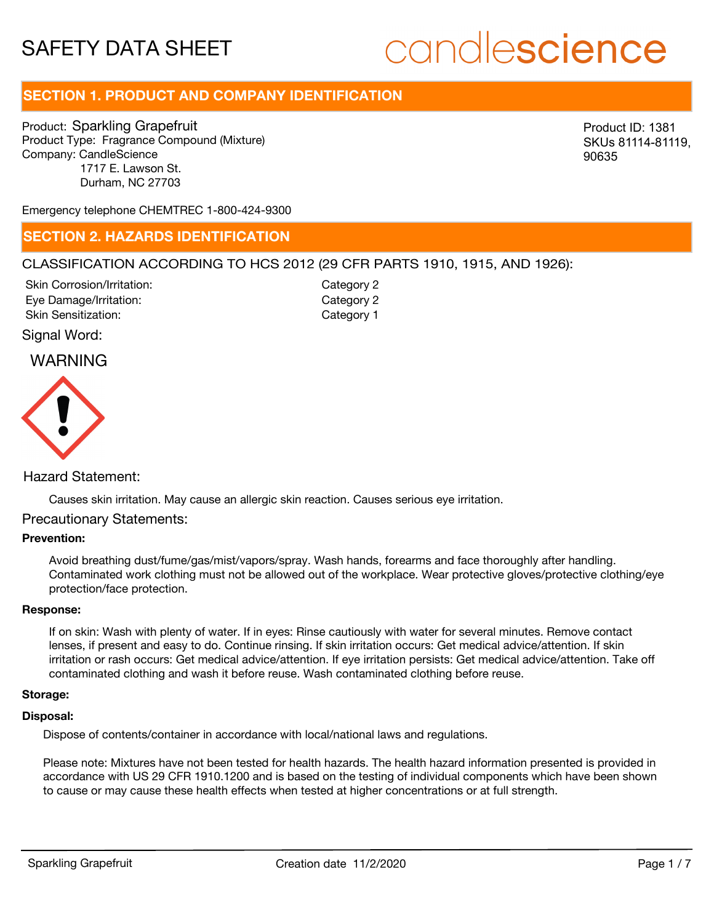## **SECTION 1. PRODUCT AND COMPANY IDENTIFICATION**

Product: Sparkling Grapefruit Product Type: Fragrance Compound (Mixture) Company: CandleScience 1717 E. Lawson St. Durham, NC 27703

Product ID: 1381 SKUs 81114-81119, 90635

Emergency telephone CHEMTREC 1-800-424-9300

## **SECTION 2. HAZARDS IDENTIFICATION**

## CLASSIFICATION ACCORDING TO HCS 2012 (29 CFR PARTS 1910, 1915, AND 1926):

Skin Corrosion/Irritation: Eye Damage/Irritation: Skin Sensitization:

Category 2 Category 2 Category 1

## Signal Word:

## WARNING



## Hazard Statement:

Causes skin irritation. May cause an allergic skin reaction. Causes serious eye irritation.

## Precautionary Statements:

## **Prevention:**

Avoid breathing dust/fume/gas/mist/vapors/spray. Wash hands, forearms and face thoroughly after handling. Contaminated work clothing must not be allowed out of the workplace. Wear protective gloves/protective clothing/eye protection/face protection.

#### **Response:**

If on skin: Wash with plenty of water. If in eyes: Rinse cautiously with water for several minutes. Remove contact lenses, if present and easy to do. Continue rinsing. If skin irritation occurs: Get medical advice/attention. If skin irritation or rash occurs: Get medical advice/attention. If eye irritation persists: Get medical advice/attention. Take off contaminated clothing and wash it before reuse. Wash contaminated clothing before reuse.

## **Storage:**

## **Disposal:**

Dispose of contents/container in accordance with local/national laws and regulations.

Please note: Mixtures have not been tested for health hazards. The health hazard information presented is provided in accordance with US 29 CFR 1910.1200 and is based on the testing of individual components which have been shown to cause or may cause these health effects when tested at higher concentrations or at full strength.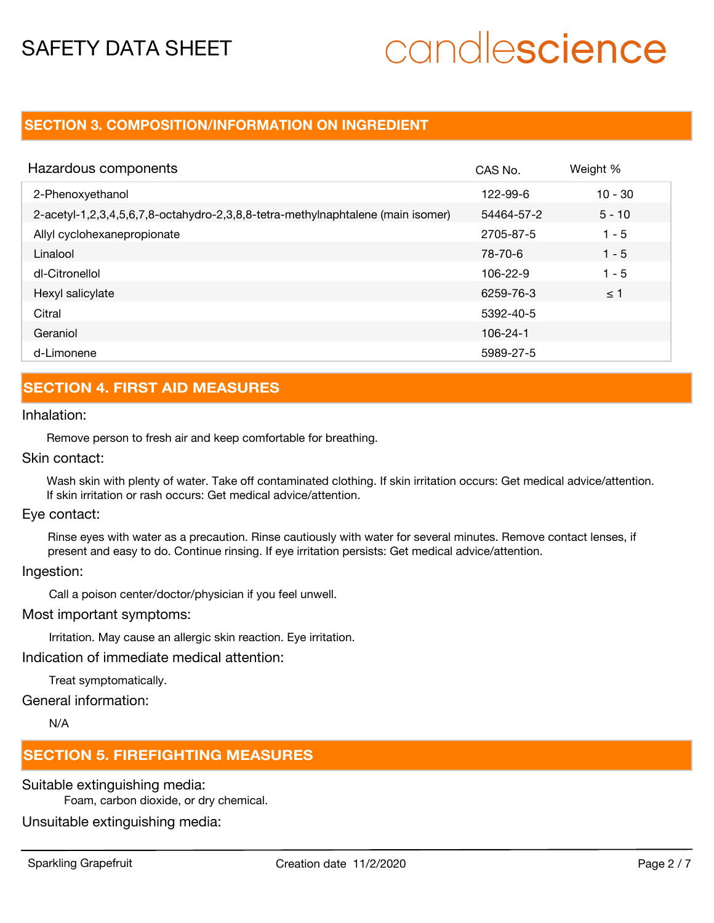## **SECTION 3. COMPOSITION/INFORMATION ON INGREDIENT**

| Hazardous components                                                            | CAS No.    | Weight %  |
|---------------------------------------------------------------------------------|------------|-----------|
| 2-Phenoxyethanol                                                                | 122-99-6   | $10 - 30$ |
| 2-acetyl-1,2,3,4,5,6,7,8-octahydro-2,3,8,8-tetra-methylnaphtalene (main isomer) | 54464-57-2 | $5 - 10$  |
| Allyl cyclohexanepropionate                                                     | 2705-87-5  | $1 - 5$   |
| Linalool                                                                        | 78-70-6    | $1 - 5$   |
| dl-Citronellol                                                                  | 106-22-9   | $1 - 5$   |
| Hexyl salicylate                                                                | 6259-76-3  | $\leq$ 1  |
| Citral                                                                          | 5392-40-5  |           |
| Geraniol                                                                        | 106-24-1   |           |
| d-Limonene                                                                      | 5989-27-5  |           |

## **SECTION 4. FIRST AID MEASURES**

## Inhalation:

Remove person to fresh air and keep comfortable for breathing.

Skin contact:

Wash skin with plenty of water. Take off contaminated clothing. If skin irritation occurs: Get medical advice/attention. If skin irritation or rash occurs: Get medical advice/attention.

Eye contact:

Rinse eyes with water as a precaution. Rinse cautiously with water for several minutes. Remove contact lenses, if present and easy to do. Continue rinsing. If eye irritation persists: Get medical advice/attention.

Ingestion:

Call a poison center/doctor/physician if you feel unwell.

Most important symptoms:

Irritation. May cause an allergic skin reaction. Eye irritation.

Indication of immediate medical attention:

Treat symptomatically.

General information:

N/A

## **SECTION 5. FIREFIGHTING MEASURES**

Suitable extinguishing media:

Foam, carbon dioxide, or dry chemical.

Unsuitable extinguishing media: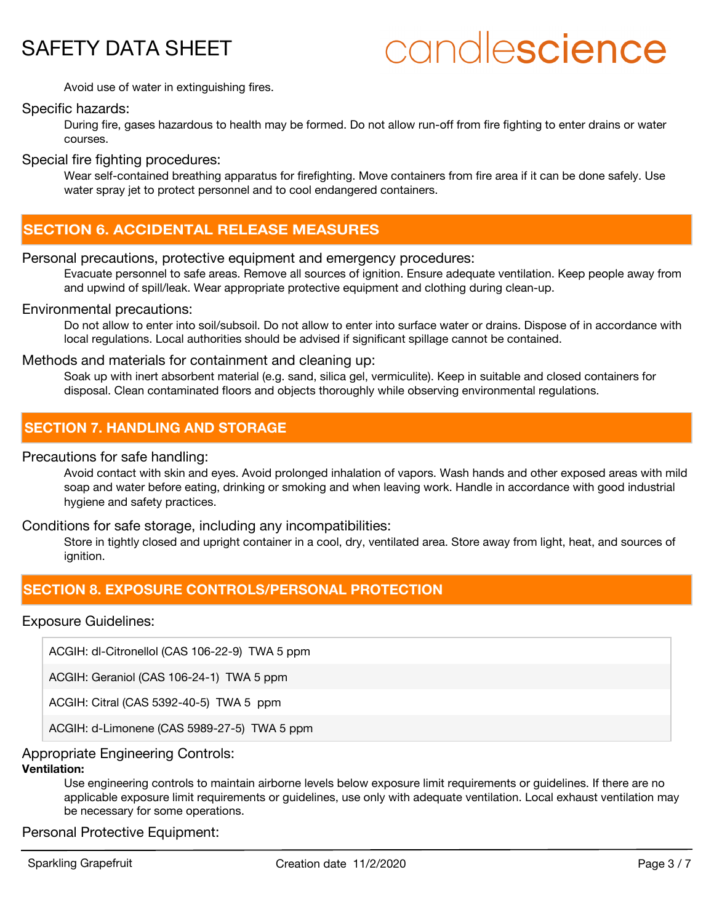

Avoid use of water in extinguishing fires.

## Specific hazards:

During fire, gases hazardous to health may be formed. Do not allow run-off from fire fighting to enter drains or water courses.

Special fire fighting procedures:

Wear self-contained breathing apparatus for firefighting. Move containers from fire area if it can be done safely. Use water spray jet to protect personnel and to cool endangered containers.

## **SECTION 6. ACCIDENTAL RELEASE MEASURES**

### Personal precautions, protective equipment and emergency procedures:

Evacuate personnel to safe areas. Remove all sources of ignition. Ensure adequate ventilation. Keep people away from and upwind of spill/leak. Wear appropriate protective equipment and clothing during clean-up.

### Environmental precautions:

Do not allow to enter into soil/subsoil. Do not allow to enter into surface water or drains. Dispose of in accordance with local regulations. Local authorities should be advised if significant spillage cannot be contained.

### Methods and materials for containment and cleaning up:

Soak up with inert absorbent material (e.g. sand, silica gel, vermiculite). Keep in suitable and closed containers for disposal. Clean contaminated floors and objects thoroughly while observing environmental regulations.

## **SECTION 7. HANDLING AND STORAGE**

Precautions for safe handling:

Avoid contact with skin and eyes. Avoid prolonged inhalation of vapors. Wash hands and other exposed areas with mild soap and water before eating, drinking or smoking and when leaving work. Handle in accordance with good industrial hygiene and safety practices.

### Conditions for safe storage, including any incompatibilities:

Store in tightly closed and upright container in a cool, dry, ventilated area. Store away from light, heat, and sources of ignition.

## **SECTION 8. EXPOSURE CONTROLS/PERSONAL PROTECTION**

## Exposure Guidelines:

ACGIH: dl-Citronellol (CAS 106-22-9) TWA 5 ppm

ACGIH: Geraniol (CAS 106-24-1) TWA 5 ppm

ACGIH: Citral (CAS 5392-40-5) TWA 5 ppm

ACGIH: d-Limonene (CAS 5989-27-5) TWA 5 ppm

### Appropriate Engineering Controls:

## **Ventilation:**

Use engineering controls to maintain airborne levels below exposure limit requirements or guidelines. If there are no applicable exposure limit requirements or guidelines, use only with adequate ventilation. Local exhaust ventilation may be necessary for some operations.

Personal Protective Equipment: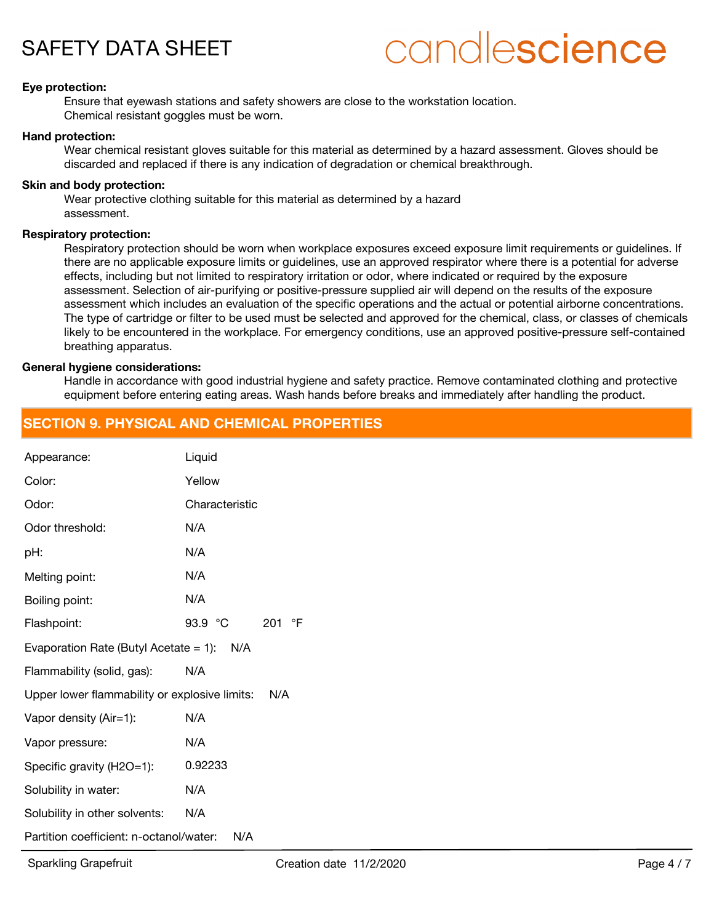

### **Eye protection:**

Ensure that eyewash stations and safety showers are close to the workstation location. Chemical resistant goggles must be worn.

#### **Hand protection:**

Wear chemical resistant gloves suitable for this material as determined by a hazard assessment. Gloves should be discarded and replaced if there is any indication of degradation or chemical breakthrough.

#### **Skin and body protection:**

Wear protective clothing suitable for this material as determined by a hazard assessment.

#### **Respiratory protection:**

Respiratory protection should be worn when workplace exposures exceed exposure limit requirements or guidelines. If there are no applicable exposure limits or guidelines, use an approved respirator where there is a potential for adverse effects, including but not limited to respiratory irritation or odor, where indicated or required by the exposure assessment. Selection of air-purifying or positive-pressure supplied air will depend on the results of the exposure assessment which includes an evaluation of the specific operations and the actual or potential airborne concentrations. The type of cartridge or filter to be used must be selected and approved for the chemical, class, or classes of chemicals likely to be encountered in the workplace. For emergency conditions, use an approved positive-pressure self-contained breathing apparatus.

#### **General hygiene considerations:**

Handle in accordance with good industrial hygiene and safety practice. Remove contaminated clothing and protective equipment before entering eating areas. Wash hands before breaks and immediately after handling the product.

## **SECTION 9. PHYSICAL AND CHEMICAL PROPERTIES**

| Appearance:                                          | Liquid            |  |
|------------------------------------------------------|-------------------|--|
| Color:                                               | Yellow            |  |
| Odor:                                                | Characteristic    |  |
| Odor threshold:                                      | N/A               |  |
| pH:                                                  | N/A               |  |
| Melting point:                                       | N/A               |  |
| Boiling point:                                       | N/A               |  |
| Flashpoint:                                          | 93.9 °C<br>201 °F |  |
| Evaporation Rate (Butyl Acetate = 1): $N/A$          |                   |  |
| Flammability (solid, gas):                           | N/A               |  |
| Upper lower flammability or explosive limits:<br>N/A |                   |  |
| Vapor density (Air=1):                               | N/A               |  |
| Vapor pressure:                                      | N/A               |  |
| Specific gravity (H2O=1):                            | 0.92233           |  |
| Solubility in water:                                 | N/A               |  |
| Solubility in other solvents:                        | N/A               |  |
| Partition coefficient: n-octanol/water:<br>N/A       |                   |  |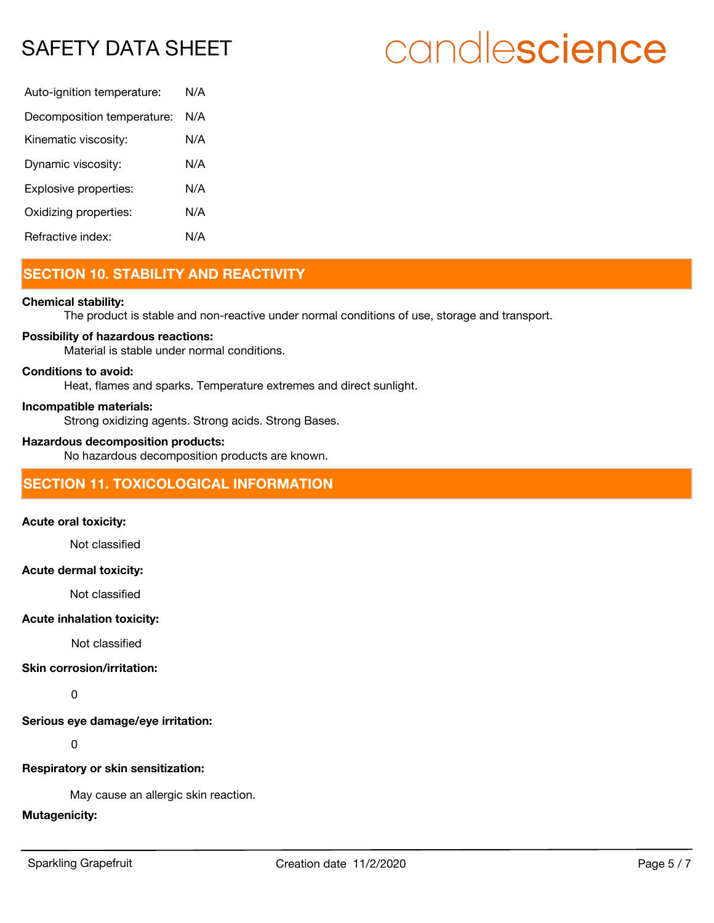## SAFETY DATA SHEET

# candlescience

| Auto-ignition temperature: | N/A |
|----------------------------|-----|
| Decomposition temperature: | N/A |
| Kinematic viscosity:       | N/A |
| Dynamic viscosity:         | N/A |
| Explosive properties:      | N/A |
| Oxidizing properties:      | N/A |
| Refractive index:          | N/A |

## **SECTION 10. STABILITY AND REACTIVITY**

## **Chemical stability:**

The product is stable and non-reactive under normal conditions of use, storage and transport.

### **Possibility of hazardous reactions:**

Material is stable under normal conditions.

### **Conditions to avoid:**

Heat, flames and sparks. Temperature extremes and direct sunlight.

#### **Incompatible materials:**

Strong oxidizing agents. Strong acids. Strong Bases.

## **Hazardous decomposition products:**

No hazardous decomposition products are known.

## **SECTION 11. TOXICOLOGICAL INFORMATION**

## **Acute oral toxicity:**

Not classified

#### **Acute dermal toxicity:**

Not classified

### **Acute inhalation toxicity:**

Not classified

## **Skin corrosion/irritation:**

0

**Serious eye damage/eye irritation:**

0

### **Respiratory or skin sensitization:**

May cause an allergic skin reaction.

## **Mutagenicity:**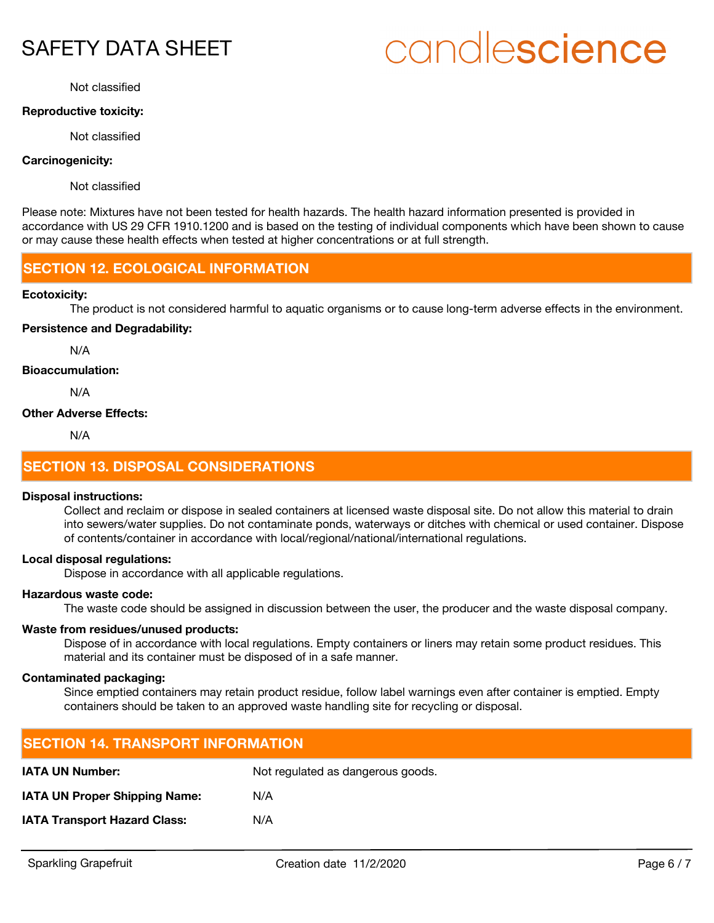## SAFETY DATA SHEET

# candlescience

Not classified

## **Reproductive toxicity:**

Not classified

## **Carcinogenicity:**

Not classified

Please note: Mixtures have not been tested for health hazards. The health hazard information presented is provided in accordance with US 29 CFR 1910.1200 and is based on the testing of individual components which have been shown to cause or may cause these health effects when tested at higher concentrations or at full strength.

## **SECTION 12. ECOLOGICAL INFORMATION**

### **Ecotoxicity:**

The product is not considered harmful to aquatic organisms or to cause long-term adverse effects in the environment.

### **Persistence and Degradability:**

N/A

### **Bioaccumulation:**

N/A

## **Other Adverse Effects:**

N/A

## **SECTION 13. DISPOSAL CONSIDERATIONS**

### **Disposal instructions:**

Collect and reclaim or dispose in sealed containers at licensed waste disposal site. Do not allow this material to drain into sewers/water supplies. Do not contaminate ponds, waterways or ditches with chemical or used container. Dispose of contents/container in accordance with local/regional/national/international regulations.

### **Local disposal regulations:**

Dispose in accordance with all applicable regulations.

## **Hazardous waste code:**

The waste code should be assigned in discussion between the user, the producer and the waste disposal company.

## **Waste from residues/unused products:**

Dispose of in accordance with local regulations. Empty containers or liners may retain some product residues. This material and its container must be disposed of in a safe manner.

## **Contaminated packaging:**

Since emptied containers may retain product residue, follow label warnings even after container is emptied. Empty containers should be taken to an approved waste handling site for recycling or disposal.

| <b>SECTION 14. TRANSPORT INFORMATION</b> |                                   |  |  |
|------------------------------------------|-----------------------------------|--|--|
| <b>IATA UN Number:</b>                   | Not regulated as dangerous goods. |  |  |
| <b>IATA UN Proper Shipping Name:</b>     | N/A                               |  |  |
| <b>IATA Transport Hazard Class:</b>      | N/A                               |  |  |
|                                          |                                   |  |  |